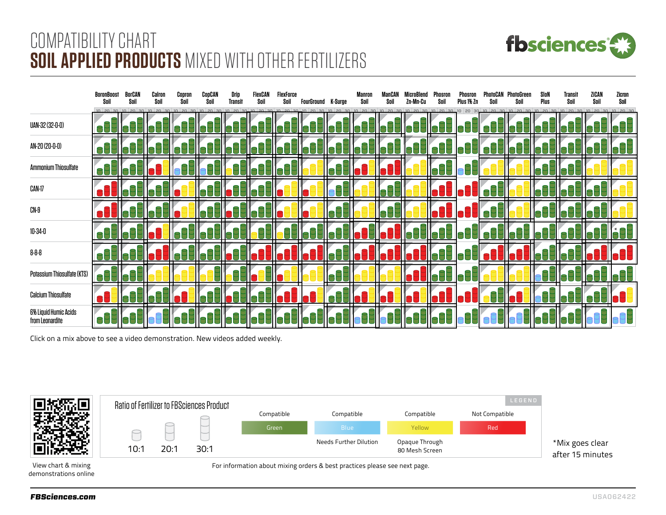

## COMPATIBILITY CHART **SOIL APPLIED PRODUCTS** MIXED WITH OTHER FERTILIZERS

|                                          | BoronBoost<br>Soil | BorCAN<br>Soil | Calron<br>Soil | Copron<br>Soil | CooCAN<br>Soil | Drin<br>Transit | FlexCAN<br>Snil | FlexForce<br>Soil | FourGround K-Surge | Soil | Soil | 7n-Mn-Cu | Phosron<br>Snil | Phosron<br>Plus 1% 7n |  | SInN<br>Plus | Transit<br>Snil | ZiCAN<br>Soil | Zicron<br>Snil |
|------------------------------------------|--------------------|----------------|----------------|----------------|----------------|-----------------|-----------------|-------------------|--------------------|------|------|----------|-----------------|-----------------------|--|--------------|-----------------|---------------|----------------|
|                                          |                    |                |                |                |                |                 |                 |                   |                    |      |      |          |                 |                       |  |              |                 |               |                |
| UAN-32 (32-0-0)                          |                    |                |                |                |                |                 |                 |                   |                    |      |      |          |                 |                       |  |              |                 |               |                |
| AN-20 (20-0-0)                           |                    |                |                |                |                |                 |                 |                   |                    |      |      |          |                 |                       |  |              |                 |               |                |
| <b>Ammonium Thiosulfate</b>              |                    |                |                |                |                |                 |                 |                   |                    |      |      |          |                 |                       |  |              |                 |               |                |
| CAN-17                                   |                    |                |                |                |                |                 |                 |                   |                    |      |      |          |                 |                       |  |              |                 |               |                |
| CN-9                                     |                    |                |                |                |                |                 |                 |                   |                    |      |      |          |                 |                       |  |              |                 |               |                |
| 10-34-0                                  |                    |                |                |                |                |                 |                 |                   |                    |      |      |          |                 |                       |  |              |                 |               |                |
| 8-8-8                                    |                    |                |                |                |                |                 |                 |                   |                    |      |      |          |                 |                       |  |              |                 |               |                |
| Potassium Thiosulfate (KTS)              |                    |                |                |                |                |                 |                 |                   |                    |      |      |          |                 |                       |  |              |                 |               |                |
| <b>Calcium Thiosulfate</b>               |                    |                |                |                |                |                 |                 |                   |                    |      |      |          |                 |                       |  |              |                 |               |                |
| 6% Liquid Humic Acids<br>from Leonardite |                    |                |                |                |                |                 |                 |                   |                    |      |      |          |                 |                       |  |              |                 |               |                |

Click on a mix above to see a video demonstration. New videos added weekly.



View chart & mixing demonstrations online For information about mixing orders & best practices please see next page.